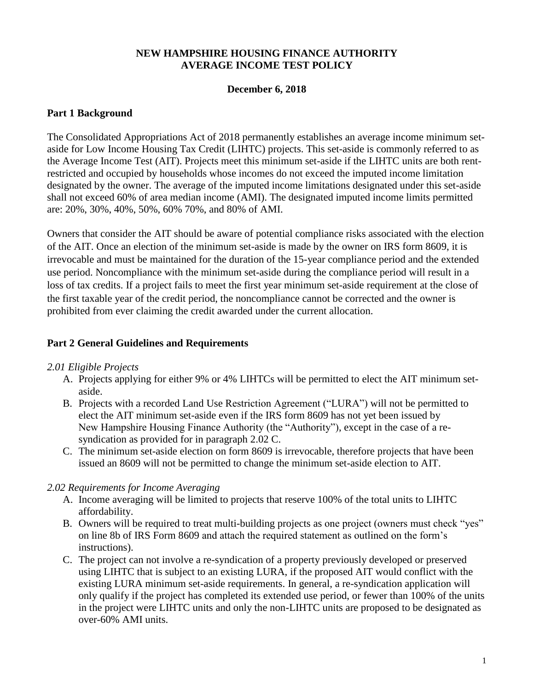## **NEW HAMPSHIRE HOUSING FINANCE AUTHORITY AVERAGE INCOME TEST POLICY**

### **December 6, 2018**

### **Part 1 Background**

The Consolidated Appropriations Act of 2018 permanently establishes an average income minimum setaside for Low Income Housing Tax Credit (LIHTC) projects. This set-aside is commonly referred to as the Average Income Test (AIT). Projects meet this minimum set-aside if the LIHTC units are both rentrestricted and occupied by households whose incomes do not exceed the imputed income limitation designated by the owner. The average of the imputed income limitations designated under this set-aside shall not exceed 60% of area median income (AMI). The designated imputed income limits permitted are: 20%, 30%, 40%, 50%, 60% 70%, and 80% of AMI.

Owners that consider the AIT should be aware of potential compliance risks associated with the election of the AIT. Once an election of the minimum set-aside is made by the owner on IRS form 8609, it is irrevocable and must be maintained for the duration of the 15-year compliance period and the extended use period. Noncompliance with the minimum set-aside during the compliance period will result in a loss of tax credits. If a project fails to meet the first year minimum set-aside requirement at the close of the first taxable year of the credit period, the noncompliance cannot be corrected and the owner is prohibited from ever claiming the credit awarded under the current allocation.

### **Part 2 General Guidelines and Requirements**

#### *2.01 Eligible Projects*

- A. Projects applying for either 9% or 4% LIHTCs will be permitted to elect the AIT minimum setaside.
- B. Projects with a recorded Land Use Restriction Agreement ("LURA") will not be permitted to elect the AIT minimum set-aside even if the IRS form 8609 has not yet been issued by New Hampshire Housing Finance Authority (the "Authority"), except in the case of a resyndication as provided for in paragraph 2.02 C.
- C. The minimum set-aside election on form 8609 is irrevocable, therefore projects that have been issued an 8609 will not be permitted to change the minimum set-aside election to AIT.

#### *2.02 Requirements for Income Averaging*

- A. Income averaging will be limited to projects that reserve 100% of the total units to LIHTC affordability.
- B. Owners will be required to treat multi-building projects as one project (owners must check "yes" on line 8b of IRS Form 8609 and attach the required statement as outlined on the form's instructions).
- C. The project can not involve a re-syndication of a property previously developed or preserved using LIHTC that is subject to an existing LURA, if the proposed AIT would conflict with the existing LURA minimum set-aside requirements. In general, a re-syndication application will only qualify if the project has completed its extended use period, or fewer than 100% of the units in the project were LIHTC units and only the non-LIHTC units are proposed to be designated as over-60% AMI units.